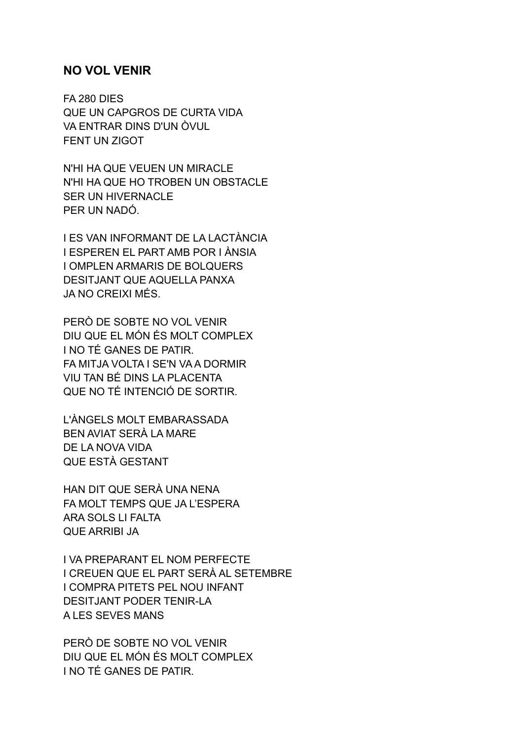## **NO VOL VENIR**

FA 280 DIES QUE UN CAPGROS DE CURTA VIDA VA ENTRAR DINS D'UN ÒVUL FENT UN ZIGOT

N'HI HA QUE VEUEN UN MIRACLE N'HI HA QUE HO TROBEN UN OBSTACLE SER UN HIVERNACLE PER UN NADÓ.

I ES VAN INFORMANT DE LA LACTÀNCIA I ESPEREN EL PART AMB POR I ÀNSIA I OMPLEN ARMARIS DE BOLQUERS DESITJANT QUE AQUELLA PANXA JA NO CREIXI MÉS.

PERÒ DE SOBTE NO VOL VENIR DIU QUE EL MÓN ÉS MOLT COMPLEX I NO TÉ GANES DE PATIR. FA MITJA VOLTA I SE'N VA A DORMIR VIU TAN BÉ DINS LA PLACENTA QUE NO TÉ INTENCIÓ DE SORTIR.

L'ÀNGELS MOLT EMBARASSADA BEN AVIAT SERÀ LA MARE DE LA NOVA VIDA QUE ESTÀ GESTANT

HAN DIT QUE SERÀ UNA NENA FA MOLT TEMPS QUE JA L'ESPERA ARA SOLS LI FALTA QUE ARRIBI JA

I VA PREPARANT EL NOM PERFECTE I CREUEN QUE EL PART SERÀ AL SETEMBRE I COMPRA PITETS PEL NOU INFANT DESITJANT PODER TENIR-LA A LES SEVES MANS

PERÒ DE SOBTE NO VOL VENIR DIU QUE EL MÓN ÉS MOLT COMPLEX I NO TÉ GANES DE PATIR.